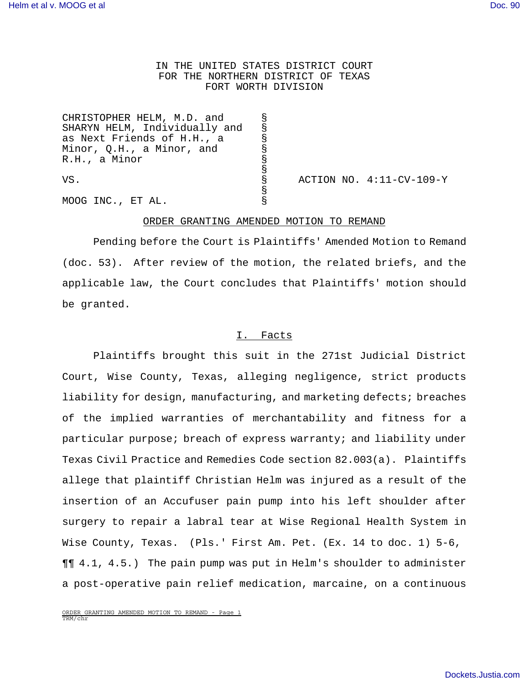# IN THE UNITED STATES DISTRICT COURT FOR THE NORTHERN DISTRICT OF TEXAS FORT WORTH DIVISION

| CHRISTOPHER HELM, M.D. and    |   |                          |
|-------------------------------|---|--------------------------|
| SHARYN HELM, Individually and |   |                          |
| as Next Friends of H.H., a    |   |                          |
| Minor, Q.H., a Minor, and     |   |                          |
| R.H., a Minor                 |   |                          |
|                               |   |                          |
| VS.                           | Š | ACTION NO. 4:11-CV-109-Y |
|                               |   |                          |
| MOOG INC., ET AL.             |   |                          |

#### ORDER GRANTING AMENDED MOTION TO REMAND

Pending before the Court is Plaintiffs' Amended Motion to Remand (doc. 53). After review of the motion, the related briefs, and the applicable law, the Court concludes that Plaintiffs' motion should be granted.

#### I. Facts

Plaintiffs brought this suit in the 271st Judicial District Court, Wise County, Texas, alleging negligence, strict products liability for design, manufacturing, and marketing defects; breaches of the implied warranties of merchantability and fitness for a particular purpose; breach of express warranty; and liability under Texas Civil Practice and Remedies Code section 82.003(a). Plaintiffs allege that plaintiff Christian Helm was injured as a result of the insertion of an Accufuser pain pump into his left shoulder after surgery to repair a labral tear at Wise Regional Health System in Wise County, Texas. (Pls.' First Am. Pet. (Ex. 14 to doc. 1) 5-6, ¶¶ 4.1, 4.5.) The pain pump was put in Helm's shoulder to administer a post-operative pain relief medication, marcaine, on a continuous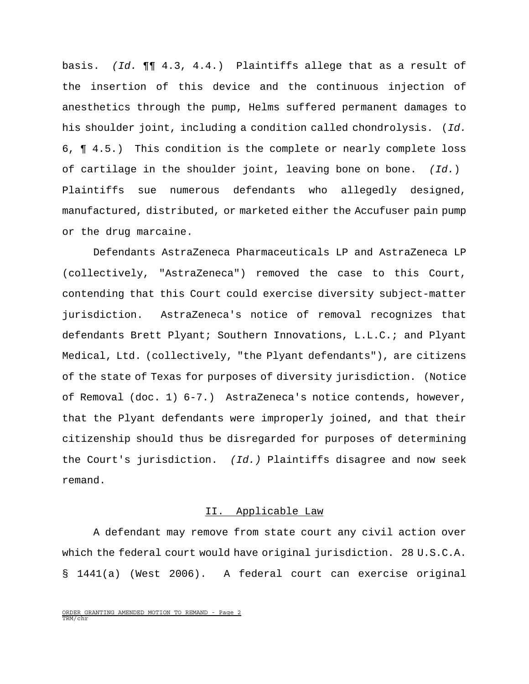basis. (Id. ¶¶ 4.3, 4.4.) Plaintiffs allege that as a result of the insertion of this device and the continuous injection of anesthetics through the pump, Helms suffered permanent damages to his shoulder joint, including a condition called chondrolysis. (Id. 6, ¶ 4.5.) This condition is the complete or nearly complete loss of cartilage in the shoulder joint, leaving bone on bone.  $(Id.)$ Plaintiffs sue numerous defendants who allegedly designed, manufactured, distributed, or marketed either the Accufuser pain pump or the drug marcaine.

Defendants AstraZeneca Pharmaceuticals LP and AstraZeneca LP (collectively, "AstraZeneca") removed the case to this Court, contending that this Court could exercise diversity subject-matter jurisdiction. AstraZeneca's notice of removal recognizes that defendants Brett Plyant; Southern Innovations, L.L.C.; and Plyant Medical, Ltd. (collectively, "the Plyant defendants"), are citizens of the state of Texas for purposes of diversity jurisdiction. (Notice of Removal (doc. 1) 6-7.) AstraZeneca's notice contends, however, that the Plyant defendants were improperly joined, and that their citizenship should thus be disregarded for purposes of determining the Court's jurisdiction. (Id.) Plaintiffs disagree and now seek remand.

### II. Applicable Law

A defendant may remove from state court any civil action over which the federal court would have original jurisdiction. 28 U.S.C.A. § 1441(a) (West 2006). A federal court can exercise original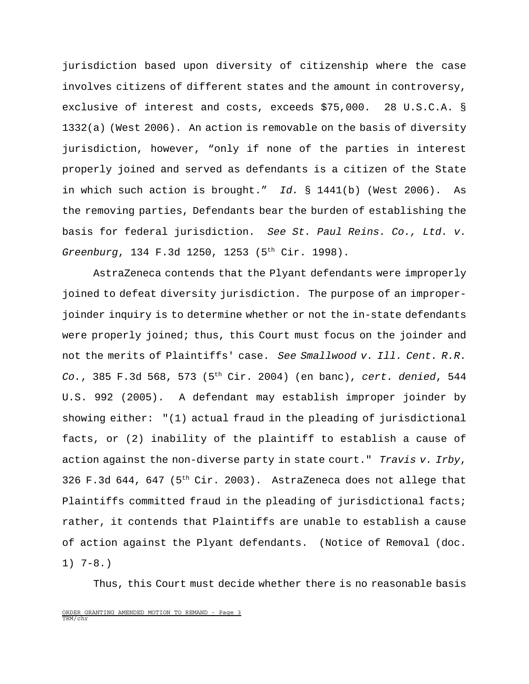jurisdiction based upon diversity of citizenship where the case involves citizens of different states and the amount in controversy, exclusive of interest and costs, exceeds \$75,000. 28 U.S.C.A. § 1332(a) (West 2006). An action is removable on the basis of diversity jurisdiction, however, "only if none of the parties in interest properly joined and served as defendants is a citizen of the State in which such action is brought." Id.  $\S$  1441(b) (West 2006). As the removing parties, Defendants bear the burden of establishing the basis for federal jurisdiction. See St. Paul Reins. Co., Ltd. v. Greenburg, 134 F.3d 1250, 1253 (5th Cir. 1998).

AstraZeneca contends that the Plyant defendants were improperly joined to defeat diversity jurisdiction. The purpose of an improperjoinder inquiry is to determine whether or not the in-state defendants were properly joined; thus, this Court must focus on the joinder and not the merits of Plaintiffs' case. See Smallwood v. Ill. Cent. R.R. Co., 385 F.3d 568, 573 ( $5<sup>th</sup>$  Cir. 2004) (en banc), cert. denied, 544 U.S. 992 (2005). A defendant may establish improper joinder by showing either: "(1) actual fraud in the pleading of jurisdictional facts, or (2) inability of the plaintiff to establish a cause of action against the non-diverse party in state court." Travis v. Irby, 326 F.3d 644, 647 (5th Cir. 2003). AstraZeneca does not allege that Plaintiffs committed fraud in the pleading of jurisdictional facts; rather, it contends that Plaintiffs are unable to establish a cause of action against the Plyant defendants. (Notice of Removal (doc. 1) 7-8.)

Thus, this Court must decide whether there is no reasonable basis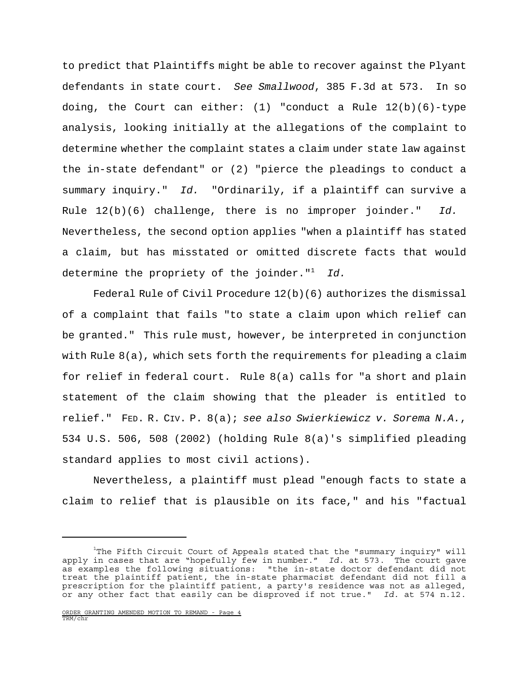to predict that Plaintiffs might be able to recover against the Plyant defendants in state court. See Smallwood, 385 F.3d at 573. In so doing, the Court can either: (1) "conduct a Rule  $12(b)(6)-$ type analysis, looking initially at the allegations of the complaint to determine whether the complaint states a claim under state law against the in-state defendant" or (2) "pierce the pleadings to conduct a summary inquiry." Id. "Ordinarily, if a plaintiff can survive a Rule  $12(b)(6)$  challenge, there is no improper joinder." Id. Nevertheless, the second option applies "when a plaintiff has stated a claim, but has misstated or omitted discrete facts that would determine the propriety of the joinder." $1$  Id.

Federal Rule of Civil Procedure  $12(b)(6)$  authorizes the dismissal of a complaint that fails "to state a claim upon which relief can be granted." This rule must, however, be interpreted in conjunction with Rule 8(a), which sets forth the requirements for pleading a claim for relief in federal court. Rule 8(a) calls for "a short and plain statement of the claim showing that the pleader is entitled to relief." FED. R. CIV. P. 8(a); see also Swierkiewicz v. Sorema N.A., 534 U.S. 506, 508 (2002) (holding Rule 8(a)'s simplified pleading standard applies to most civil actions).

Nevertheless, a plaintiff must plead "enough facts to state a claim to relief that is plausible on its face," and his "factual

 $1$ The Fifth Circuit Court of Appeals stated that the "summary inquiry" will apply in cases that are "hopefully few in number." Id. at 573. The court gave as examples the following situations: "the in-state doctor defendant did not treat the plaintiff patient, the in-state pharmacist defendant did not fill a prescription for the plaintiff patient, a party's residence was not as alleged, or any other fact that easily can be disproved if not true." Id. at 574 n.12.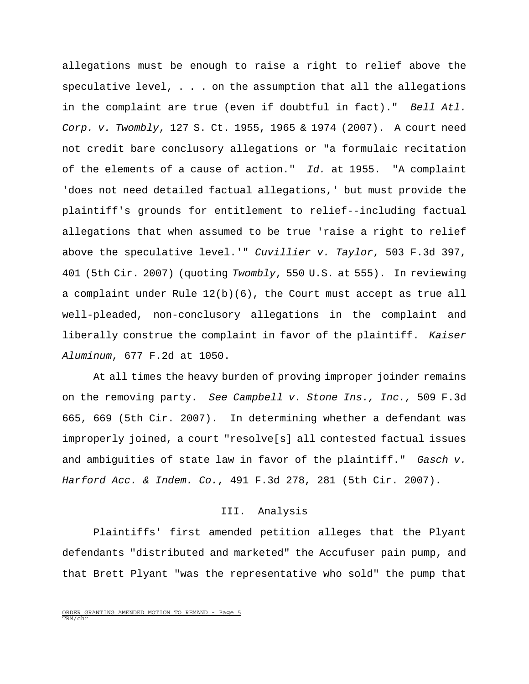allegations must be enough to raise a right to relief above the speculative level, . . . on the assumption that all the allegations in the complaint are true (even if doubtful in fact)." Bell Atl. Corp. v. Twombly, 127 S. Ct. 1955, 1965 & 1974 (2007). A court need not credit bare conclusory allegations or "a formulaic recitation of the elements of a cause of action." Id. at 1955. "A complaint 'does not need detailed factual allegations,' but must provide the plaintiff's grounds for entitlement to relief--including factual allegations that when assumed to be true 'raise a right to relief above the speculative level.'" Cuvillier v. Taylor, 503 F.3d 397, 401 (5th Cir. 2007) (quoting Twombly, 550 U.S. at 555). In reviewing a complaint under Rule 12(b)(6), the Court must accept as true all well-pleaded, non-conclusory allegations in the complaint and liberally construe the complaint in favor of the plaintiff. Kaiser Aluminum, 677 F.2d at 1050.

At all times the heavy burden of proving improper joinder remains on the removing party. See Campbell v. Stone Ins., Inc., 509 F.3d 665, 669 (5th Cir. 2007). In determining whether a defendant was improperly joined, a court "resolve[s] all contested factual issues and ambiguities of state law in favor of the plaintiff." Gasch v. Harford Acc. & Indem. Co., 491 F.3d 278, 281 (5th Cir. 2007).

#### III. Analysis

Plaintiffs' first amended petition alleges that the Plyant defendants "distributed and marketed" the Accufuser pain pump, and that Brett Plyant "was the representative who sold" the pump that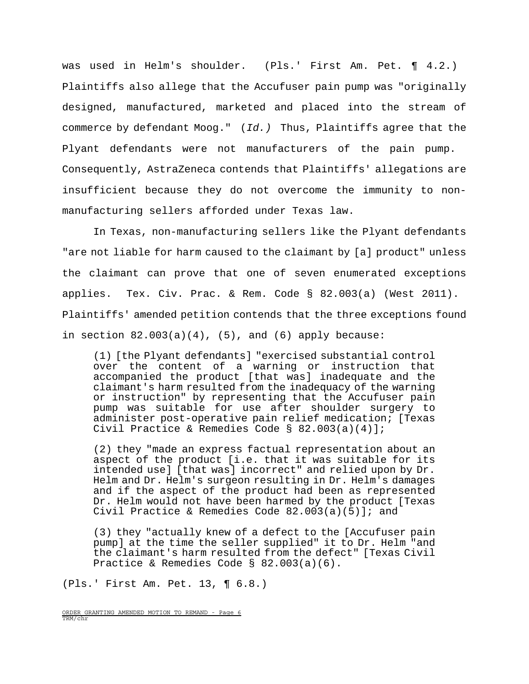was used in Helm's shoulder. (Pls.' First Am. Pet. ¶ 4.2.) Plaintiffs also allege that the Accufuser pain pump was "originally designed, manufactured, marketed and placed into the stream of commerce by defendant Moog." (Id.) Thus, Plaintiffs agree that the Plyant defendants were not manufacturers of the pain pump. Consequently, AstraZeneca contends that Plaintiffs' allegations are insufficient because they do not overcome the immunity to nonmanufacturing sellers afforded under Texas law.

In Texas, non-manufacturing sellers like the Plyant defendants "are not liable for harm caused to the claimant by [a] product" unless the claimant can prove that one of seven enumerated exceptions applies. Tex. Civ. Prac. & Rem. Code § 82.003(a) (West 2011). Plaintiffs' amended petition contends that the three exceptions found in section  $82.003(a)(4)$ ,  $(5)$ , and  $(6)$  apply because:

(1) [the Plyant defendants] "exercised substantial control over the content of a warning or instruction that accompanied the product [that was] inadequate and the claimant's harm resulted from the inadequacy of the warning or instruction" by representing that the Accufuser pain pump was suitable for use after shoulder surgery to administer post-operative pain relief medication; [Texas Civil Practice & Remedies Code § 82.003(a)(4)];

(2) they "made an express factual representation about an aspect of the product [i.e. that it was suitable for its intended use] [that was] incorrect" and relied upon by Dr. Helm and Dr. Helm's surgeon resulting in Dr. Helm's damages and if the aspect of the product had been as represented Dr. Helm would not have been harmed by the product [Texas Civil Practice & Remedies Code 82.003(a)(5)]; and

(3) they "actually knew of a defect to the [Accufuser pain pump] at the time the seller supplied" it to Dr. Helm "and the claimant's harm resulted from the defect" [Texas Civil Practice & Remedies Code § 82.003(a)(6).

(Pls.' First Am. Pet. 13, ¶ 6.8.)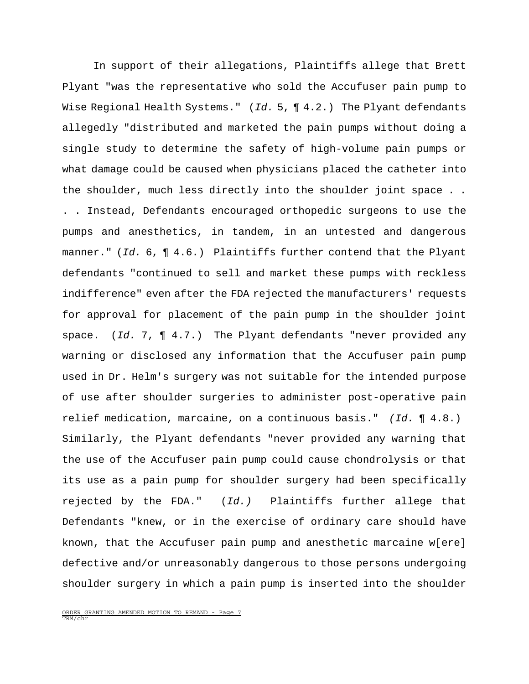In support of their allegations, Plaintiffs allege that Brett Plyant "was the representative who sold the Accufuser pain pump to Wise Regional Health Systems."  $(Id. 5, \P 4.2.)$  The Plyant defendants allegedly "distributed and marketed the pain pumps without doing a single study to determine the safety of high-volume pain pumps or what damage could be caused when physicians placed the catheter into the shoulder, much less directly into the shoulder joint space . . . . Instead, Defendants encouraged orthopedic surgeons to use the pumps and anesthetics, in tandem, in an untested and dangerous manner." (Id.  $6, 9$ , 4.6.) Plaintiffs further contend that the Plyant defendants "continued to sell and market these pumps with reckless indifference" even after the FDA rejected the manufacturers' requests for approval for placement of the pain pump in the shoulder joint space. (Id. 7,  $\P$  4.7.) The Plyant defendants "never provided any warning or disclosed any information that the Accufuser pain pump used in Dr. Helm's surgery was not suitable for the intended purpose of use after shoulder surgeries to administer post-operative pain relief medication, marcaine, on a continuous basis." (Id. ¶ 4.8.) Similarly, the Plyant defendants "never provided any warning that the use of the Accufuser pain pump could cause chondrolysis or that its use as a pain pump for shoulder surgery had been specifically rejected by the FDA." (Id.) Plaintiffs further allege that Defendants "knew, or in the exercise of ordinary care should have known, that the Accufuser pain pump and anesthetic marcaine w[ere] defective and/or unreasonably dangerous to those persons undergoing shoulder surgery in which a pain pump is inserted into the shoulder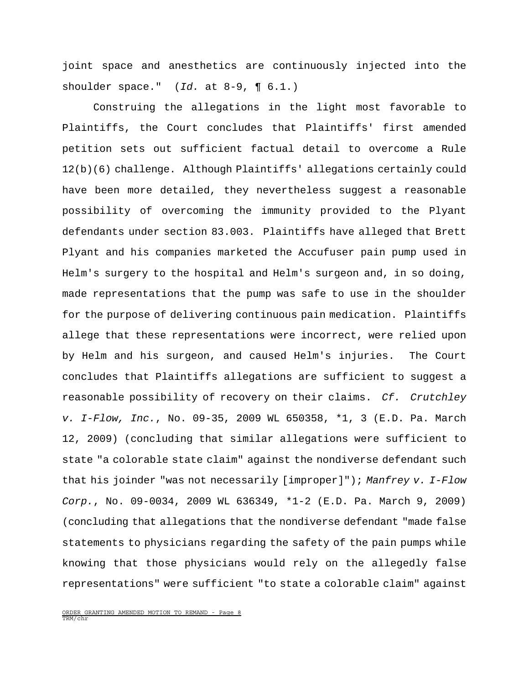joint space and anesthetics are continuously injected into the shoulder space."  $(Id.$  at 8-9,  $\P 6.1.)$ 

Construing the allegations in the light most favorable to Plaintiffs, the Court concludes that Plaintiffs' first amended petition sets out sufficient factual detail to overcome a Rule 12(b)(6) challenge. Although Plaintiffs' allegations certainly could have been more detailed, they nevertheless suggest a reasonable possibility of overcoming the immunity provided to the Plyant defendants under section 83.003. Plaintiffs have alleged that Brett Plyant and his companies marketed the Accufuser pain pump used in Helm's surgery to the hospital and Helm's surgeon and, in so doing, made representations that the pump was safe to use in the shoulder for the purpose of delivering continuous pain medication. Plaintiffs allege that these representations were incorrect, were relied upon by Helm and his surgeon, and caused Helm's injuries. The Court concludes that Plaintiffs allegations are sufficient to suggest a reasonable possibility of recovery on their claims. Cf. Crutchley v. I-Flow, Inc., No. 09-35, 2009 WL 650358, \*1, 3 (E.D. Pa. March 12, 2009) (concluding that similar allegations were sufficient to state "a colorable state claim" against the nondiverse defendant such that his joinder "was not necessarily [improper]"); Manfrey  $v$ . I-Flow Corp., No. 09-0034, 2009 WL 636349, \*1-2 (E.D. Pa. March 9, 2009) (concluding that allegations that the nondiverse defendant "made false statements to physicians regarding the safety of the pain pumps while knowing that those physicians would rely on the allegedly false representations" were sufficient "to state a colorable claim" against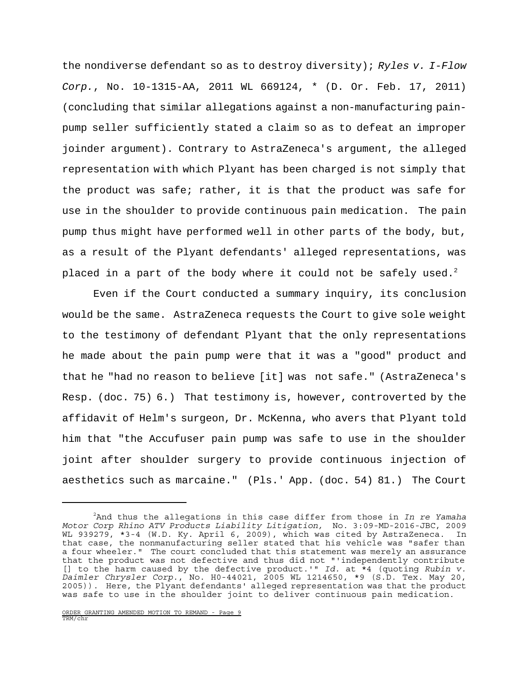the nondiverse defendant so as to destroy diversity); Ryles  $v$ . I-Flow Corp., No. 10-1315-AA, 2011 WL 669124, \* (D. Or. Feb. 17, 2011) (concluding that similar allegations against a non-manufacturing painpump seller sufficiently stated a claim so as to defeat an improper joinder argument). Contrary to AstraZeneca's argument, the alleged representation with which Plyant has been charged is not simply that the product was safe; rather, it is that the product was safe for use in the shoulder to provide continuous pain medication. The pain pump thus might have performed well in other parts of the body, but, as a result of the Plyant defendants' alleged representations, was placed in a part of the body where it could not be safely used. $^2$ 

Even if the Court conducted a summary inquiry, its conclusion would be the same. AstraZeneca requests the Court to give sole weight to the testimony of defendant Plyant that the only representations he made about the pain pump were that it was a "good" product and that he "had no reason to believe [it] was not safe." (AstraZeneca's Resp. (doc. 75) 6.) That testimony is, however, controverted by the affidavit of Helm's surgeon, Dr. McKenna, who avers that Plyant told him that "the Accufuser pain pump was safe to use in the shoulder joint after shoulder surgery to provide continuous injection of aesthetics such as marcaine." (Pls.' App. (doc. 54) 81.) The Court

 $2$ And thus the allegations in this case differ from those in In re Yamaha Motor Corp Rhino ATV Products Liability Litigation, No. 3:09-MD-2016-JBC, 2009 WL 939279, \*3-4 (W.D. Ky. April 6, 2009), which was cited by AstraZeneca. In that case, the nonmanufacturing seller stated that his vehicle was "safer than a four wheeler." The court concluded that this statement was merely an assurance that the product was not defective and thus did not "'independently contribute [] to the harm caused by the defective product.'" Id. at  $*4$  (quoting Rubin v. Daimler Chrysler Corp., No. H0-44021, 2005 WL 1214650, \*9 (S.D. Tex. May 20, 2005)). Here, the Plyant defendants' alleged representation was that the product was safe to use in the shoulder joint to deliver continuous pain medication.